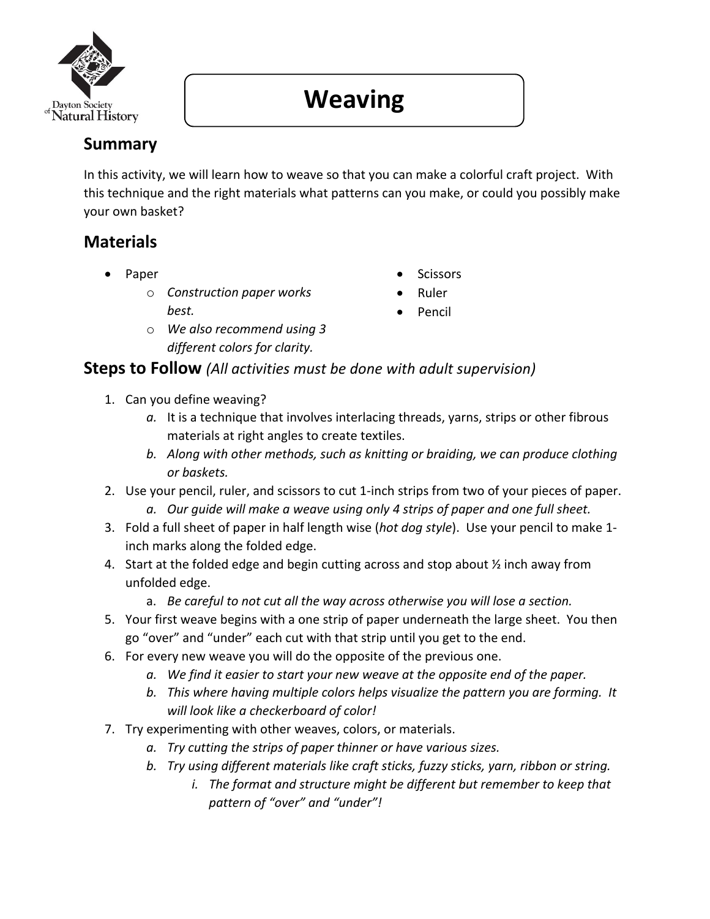

# **Weaving**

## **Summary**

In this activity, we will learn how to weave so that you can make a colorful craft project. With this technique and the right materials what patterns can you make, or could you possibly make your own basket?

### **Materials**

- Paper
	- o *Construction paper works best.*
	- o *We also recommend using 3 different colors for clarity.*
- **Scissors**
- Ruler
- Pencil

#### **Steps to Follow** *(All activities must be done with adult supervision)*

- 1. Can you define weaving?
	- *a.* It is a technique that involves interlacing threads, yarns, strips or other fibrous materials at right angles to create textiles.
	- *b. Along with other methods, such as knitting or braiding, we can produce clothing or baskets.*
- 2. Use your pencil, ruler, and scissors to cut 1-inch strips from two of your pieces of paper.
	- *a. Our guide will make a weave using only 4 strips of paper and one full sheet.*
- 3. Fold a full sheet of paper in half length wise (*hot dog style*). Use your pencil to make 1 inch marks along the folded edge.
- 4. Start at the folded edge and begin cutting across and stop about ½ inch away from unfolded edge.
	- a. *Be careful to not cut all the way across otherwise you will lose a section.*
- 5. Your first weave begins with a one strip of paper underneath the large sheet. You then go "over" and "under" each cut with that strip until you get to the end.
- 6. For every new weave you will do the opposite of the previous one.
	- *a. We find it easier to start your new weave at the opposite end of the paper.*
	- *b. This where having multiple colors helps visualize the pattern you are forming. It will look like a checkerboard of color!*
- 7. Try experimenting with other weaves, colors, or materials.
	- *a. Try cutting the strips of paper thinner or have various sizes.*
	- *b. Try using different materials like craft sticks, fuzzy sticks, yarn, ribbon or string.*
		- *i. The format and structure might be different but remember to keep that pattern of "over" and "under"!*